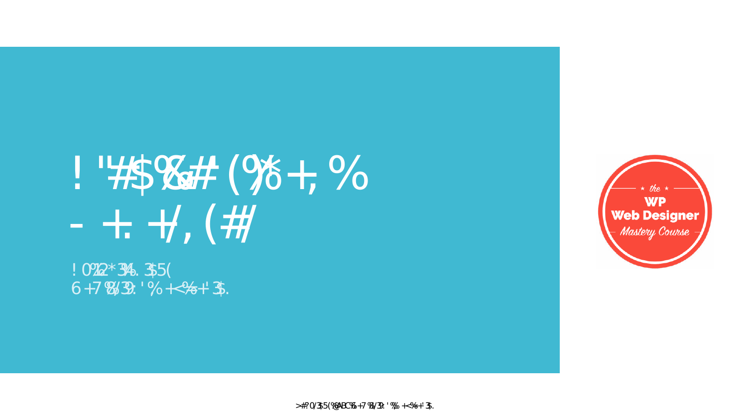# $B^* + B^* + B^* + B^* + B^*$  $[-+.++,+(+)$

 $10\%2*3\%1.3$5($  $6+7\%$ /39:  $\%$  +  $\ll$  +  $\ll$  +  $\%$ .



 $>$ #?0/3\$5(%PABC%+7%8/39: '% +<% + '3\$.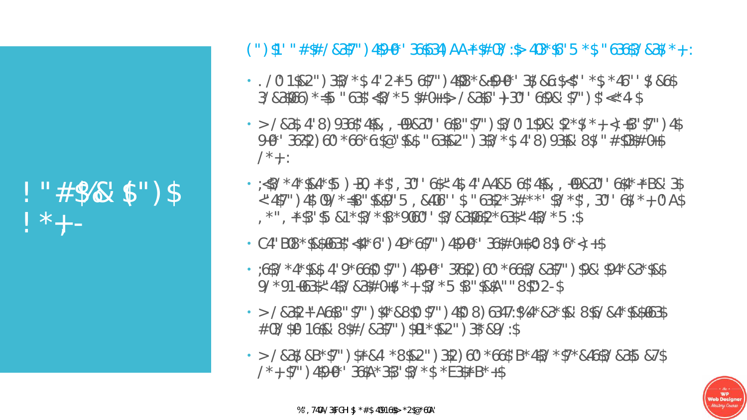$\%$ ", 740A/3\$FGHI\$J \*#\$.40916\$\$> \*2\$@ \*60A'



- $\cdot$  > /&3\$2+"A6\$8"\$7")\$4\*&8\$0"\$7")4\$0" 8)6347:\$%4\*&3\*\$&"8\$6/&4\*\$&\$+063\$  $\#$   $\frac{1}{2}$   $\#$   $\frac{1}{2}$   $\frac{1}{2}$   $\frac{1}{2}$   $\frac{1}{2}$   $\frac{1}{2}$   $\frac{1}{2}$   $\frac{1}{2}$   $\frac{1}{2}$   $\frac{1}{2}$   $\frac{1}{2}$   $\frac{1}{2}$   $\frac{1}{2}$   $\frac{1}{2}$   $\frac{1}{2}$   $\frac{1}{2}$   $\frac{1}{2}$   $\frac{1}{2}$   $\frac{1}{2}$   $\frac{1}{2}$   $\frac{1}{2}$
- $\cdot$  ;6\$/\*4\*\$&\$, 4"9\*66\$0" \$7")4\$9+0\*" 3?6\$2)60" \*66\$3/&3\$7")\$9&"\$94\*&3\*\$&\$  $9$ /\*91+063\$:"4\$3/&3\$#0++\$/\*+,\$/\*5\$8"\$&\$A""8\$0"2-\$
- C4"B08\*\$&\$463\$"<\$4\*6")49\*6\$7")4\$9+0\*"36\$#0++\$<0"8\$)6\*<)+:\$
- $\langle$ "4\$7")4\$" 09/\*=\$8"\$&\$9"5, &406""\$, "63\$2\*3#\*\*"\$3/\*\$", 30"" 6\$/\*+, 0"A\$  $p^*$ , \*'', +\*\$''\$5&1\*\$/\*\$8\*9060''' \$1&3\$0\$2\*63\$:''4\$1'\* 5:\$
- $\cdot$  ;  $\&$  /  $*$  4  $*$   $\&$  4  $*$   $\&$   $\big)$  +30, + $*$   $\int$  , 30''' 6 $\&$  '44, 4'' A4& 56 $\int$ ' 4 $\&$ , , +09&30''' 6 $\int$   $*$  + $*$  B&' 3\$
- $\cdot$  >/&3\$, 4"8)936\$"4\$&, , +09&30"' 6\$8"\$7")\$3/0' 1\$9&' \$2\*\$/\*+, <)+\$3"\$7")4\$  $9 + 1$   $1$   $36.52$   $60$   $* 66 * 6$ :  $60$   $* 85$ ,  $* 6382$   $* 387 * 5$ ,  $4$   $* 8$   $9380$   $* 85$   $* 1 + 905$  $\frac{1}{1}$  +, :
- $\cdot$  . /0' 1\$&2")3\$3/\*\$, 4"2+\*56\$7")4\$08\*&+\$9+0\*"3\$/&6:\$;<\$"" \*\$, \*46""\$/&6\$  $3/83\%6$ ) \*  $\frac{45}{3}\%$  '63\$''<\$ $\frac{7*5*}{5*}\#0+3$ .  $\frac{2*3*}{1*}$  30''' 6\$9&' \$7'') \$''<<\*4-\$

 $('')$ \$1' "#\$#/&3\$7")4\$9+0\*' 36\$634)AA+\*\$#03/:\$>403\*\$6"5 \*\$, "636\$3/&3\$/\*+, :

## $!$  "#\$%&'  $\mathcal{X}$ ")\$  $! *_{t, -}$

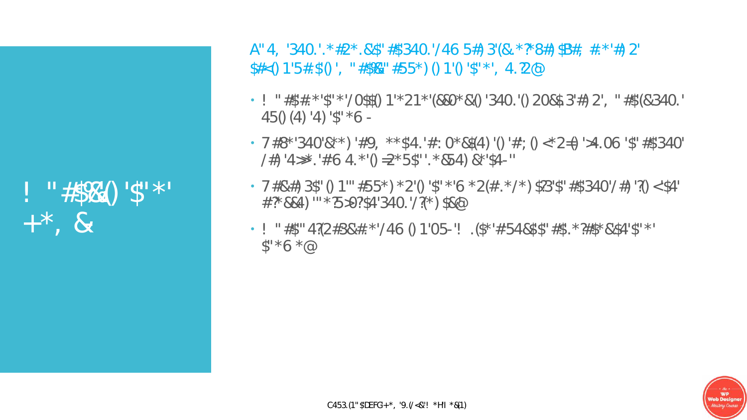$C453.(1''$'DEFG'+*, '9.(7@''] * H'I *&(1)$ 

 $(14)^{4}$ )'4>>\*.'#'64.\*'()=2\*5\$'''.\*&54)&\*'\$4-''

 $\frac{4!}{2*}$ &&4)  $\frac{1!}{2}$  15>0?'\$4'340.'/?(\*)\$& $\phi$ 

 $45() (4)' 4)'$ \$" \* 6 -

 $$^{\prime\prime\star}6^{\star}$ @





 $A''4$ , '340.'.\*#2\*.&'\$"#\$'340.'/465#)3'(&'.\*?\*8#)\$B'#, #.\*'#)2'  $$#<$  () 1'5#.\$'()', "#\$%"'#55\*) () 1'()'\$"\*', 4.?2 $\Phi$ 

 $\cdot$ ! "#\$'#.\*'\$''\*'/0\$\$()1'\*21\*'(&&0\*&'()'340.'()20&\$.3'#)2', "#\$'(&'340.'

• 7#8\*'340'&\*\*)'#'9, \*\*\$'4.'#': 0\*&\$(4)'()'#'; ()<\*2=()'>4.06'\$''#\$'340'

• 7#&'#)3\$''()1'''#55\*)\*2'()'\$''\*'6\*2(#'.\*/\*)\$?3'\$''#\$'340'/#)'?()<'\$4'

• ! "#\$'''4?(2#3&'#.\*'/46()1'05-'! .(\$\*'#'54&\$'\$''#\$'.\*?#\$\*&'\$4'\$''\*'

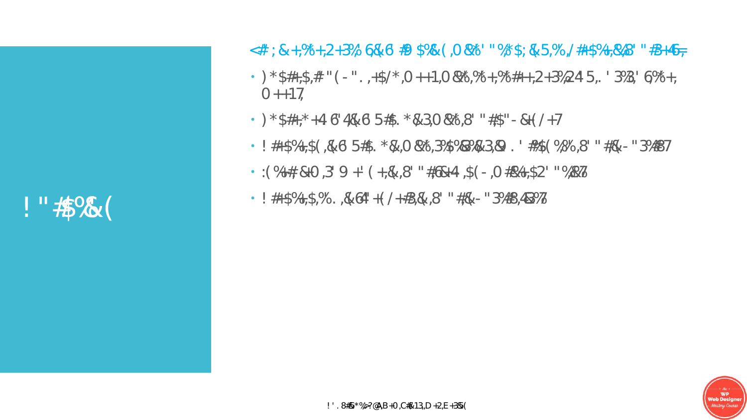$!$   $...$   $8#85 * % > ?@A.B+O.C#V13. D+2.E+3%$ 

# $!$  "#\$%" (

- $\cdot$  !  $\#$ +\$%+,\$,%".,&(64"+(/+#3,&(,8""#,&(-"3\#8,4&3\7
- $\cdot$ ! #+\$%+,\$(,&(6'5#\$. \*&/,O&%\*,3%\$%B%&/3,&9. '#%\$(%%',8' "#,&(-"3%#87  $\cdot$  : (%+#; &+O,3' 9+' (+,&(,8' "#,6&+4-,\$(-,O#&%+,\$2' "%&%7
- $\cdot$  ) \* \$#+, \* +4. 6"4,&(6" 5#\$. \*&/3, O&%\*, 8" "#, \$" -&+ (/+7)
- $\cdot$  ) \* \$#+,\$,#' " (-".,+\$/\*,O++1,O&\*,%\*+,%\*#++,2+3%24' 5,. '3%3,' 6,%\*+,  $O++17$ .
- $\mathbb{R}^*$  ; & + , % + , 2 + 3% \* 6, & (6" # 9 \$% \* (, 0 & \* " "% \* \$ ; & (5, %", /# + \$% +, & \& 8" "#3 + 46 =,

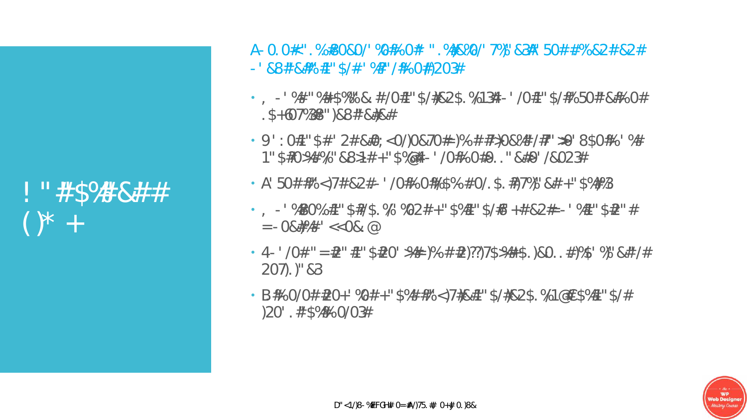$\mathbf{F}$   $''$   $''$   $\mathbf{S}$   $''$   $''$   $\mathbf{S}$   $''$   $''$  $0^*$  +

These posts generate the most interaction. Take a stand and  $88$ # $8$ # $/$  $4$   $1$   $9$   $+$   $1$  $/$  $4$  $0$   $4$  $/$  $20$  $+$ 

- $\cdot$  ,  $-$  ' % the ''% the \$% of & . #" /O #1 '' \$/  $\frac{4}{9}$ &2\$ .  $\frac{1}{3}$  13#4 ' /O #1 '' \$/  $\frac{4}{9}$  50# '& #  $\frac{1}{6}$  O #  $s + 607\%$   $B''$ )&  $8$   $f''$  &  $m$  &  $f''$
- 9':0#1"\$#-'2#'�<0/)0&70#=)%-#'#7>)0&%#'/#7">>0'8\$0#%-'%#  $1''$ \$#?0>%#. % $''$ &8>1# +"\$%@#4-'/0#%-0#0.. "&#0'/&023#
- A' 50#" #%"<)7#" &2#. "/0#%-0#%\$%-#: 0/. \$.#?)7%}"&#" + "\$%#)%3
- $\cdot$  , '%80%. #1 ''\$#?/\$. %' %02#" + ''\$%#1 ''\$/#6''+#" &2#= ' %#1 ''\$#2 ''#  $= -0$ & $\frac{4}{4}$ // $+ - 0$ &.@
- $\cdot$  4-'/O#-''=#2''#1''\$#20'%#=)%-#'#2)??)7\$%#+\$.)&0..#.)%\$'%}'&#'/#  $207)$ .)"&3
- $\cdot$  B.#%-O/O#"#2O+"%O#"+"\$%#"#%"<)7#}&#1"\$/#&2\$.%/1@#C\$%#1"\$/#  $20'$ . #'\$\#\-0/03#

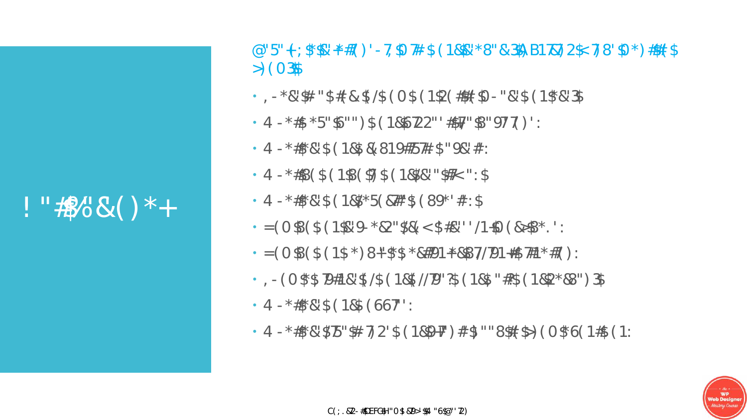$C($ ;  $.872 - #$ DEFG\$H"O\$I  $879$ >'\$4"6\$@"'72)



## $\frac{1}{2}$  "#\$%"8"  $\left(\right)$  \*+

- $4 *$ #\$\*&"\$/75"\+-7) 2'\$.  $(1$ &\$9+7")#'\$)""8\\\$(\\$)  $(O$ \$\*6 $(1\text{#S.} (1:$
- $\cdot$  4 \*#\$\*&"\$. (1&\$– (667"':
- $\cdot$ ,  $-$  (O\$\*\$; 79#1&"\$(/\$. (1&\$(//79"?\$. (1&\$; "#?\$. (1&\$2 \*&8")3\$
- $\cdot$  = (O\$8 (\$. (1\$-  $\star$ ) 8+"\$ $\star$ \$;  $\star$ &#791+ $\star$ &\$87//791+#\$"7#1 $\star$ #7():
- $\cdot = (O\$  (\$.  $(1\%") \frac{1}{6}$  \eta \text{ B} \text{ B} \text{ B} \text{ B} \text{ B} \text{ B} \text{ B} \text{ B} \text{ B} \text{ B} \text{ B} \text{ B} \text{ B} \text{ B} \text{ B} \text{ B} \text{ B} \text{ B} \text{
- $4 *$ #\$\*&"\$.  $(1$ &\$ $*$ 5 $($ &7#"\$;  $(89 * "$ #":\$
- $\cdot$  4 \*#\$8 (\$. (1\$8 (\$) \$. (1&\$/&""\$#7<":\$
- $4 \frac{1}{4}\$   $\frac{1}{8}\$  (1&\$; & (819#757# . \$")  $9\$
- $\cdot$  4 \*#\$– \*5"\$6"")\$. (1&\$6722"'#\$#/"\$8"97'7()':
- $\cdot$ ,  $-\times$ &"\#-"\\$"\# (&.\\$(\\$-(O\$.(1\\$2(\#\#\(\\$O-"&"\\$.(1\\$\&"\3\

@"5"+(;  $\sqrt[6]{8}$ "+\*#7() '-7;  $\sqrt[6]{0}$ 7#-\$. (1&\"\*8"&'3\)B17&7)2\$<7)8' $\sqrt[6]{0}$ \*)#\(\$  $\geq$  (O3\$)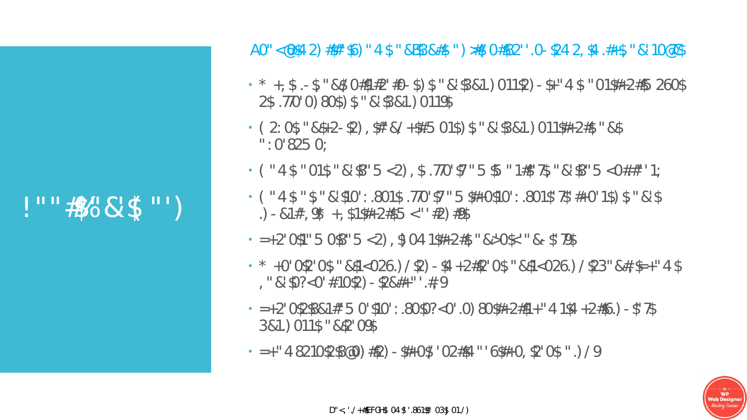$1''''''$   $\frac{4}{3}$   $\frac{1}{3}$   $\binom{11}{1}$ 

- $A0''$ <@\$42)#\$#"\$6)"4\$, "&B\$3&#\$-")#\$/0#\$82".0-\$242, \$4.#+\$, "&'10@\$\$
- $\cdot$  \* +, \$-.-\$, "&\$/0#\$1#2"#0-\$)\$, "&'\$3&1.)011\$2)-\$+"4\$-"01\$#+2#\$5260\$  $2\frac{5}{2}$ .770'0) 80\$ ) \$, "&'\$3&1.) 011%
- $\cdot$  (2:0\$, "&\$+2-\$2), \"&/+\".501\$)\$, "&'\$3&1.)011\+2#\$, "&\$  $"$ : 0'8250:
- $\cdot$  ("4\$-"01\$, "&'\$8"5<2), \$-.770'\$'"5\$5"1#\$''7\$, "&'\$8"5<0#.#"'1;
- $\cdot$  ("4\$-"\$, "&'\$10': .801\$-.770'\$'"5\#+0\$10': .801\$''7\$'#+0'1\$)\$, "&'\$  $i,j$  – & 1#', %\* +, \$1\#+2#\$ 5 < '' '#2) #%
- $\cdot$  =+2'0\$1"50\$8"5<2), \$)041\$#+2#\$, "&>'0\$<'"&-\$'79\$
- $\cdot$  \* +0'0\$2'0\$, "&\$1<026.)/\$2)-\$4+2#\$2'0\$, "&\$1<026.)/\$23"&#;\$=+"4\$  $y''$  &  $\frac{100}{2}$  (0'#.10\$2) – \$2&#+"'.#, 9
- $\cdot$  =+2'0\$2\$8&1#"50'\$10':.80\$0?<0'.0)80\$#+2#\$1+"41\$4+2#\$6.)-\$"7\$  $381.$ ) 011\$, " $8\frac{1}{2}$ "0%
- $\cdot$  =+"48210\$2\$8@0)#\$2)-\$#+0\$/'02#\$4"'6\$#+0,\$2'0\$-".)/9

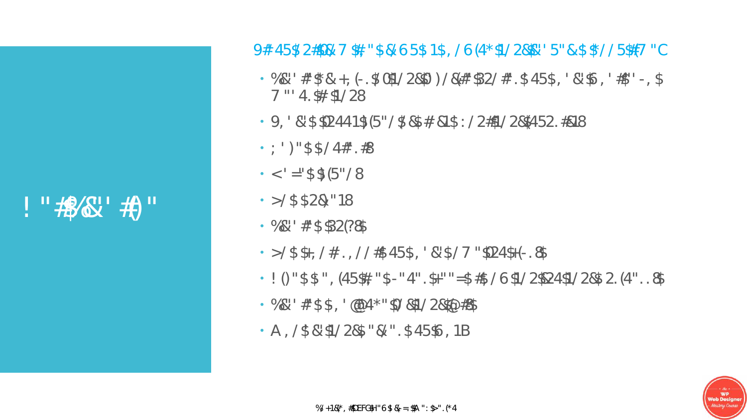#### $\frac{1}{2}$  "#\$%&" # $\frac{1}{2}$ "

- $9#$ ' 45\$/2#\$0&/7\#, "\$-&/65\$: 1\$., /6(4\*\$1/2&\'''5"&.\$'\$\*//5\(7"C
- %&"" #"\$\*&" +, (-.\$/0\$1/2&\$0")/&(#"\$32/#".\$" 45\$., "&"\$6, "#\$"" -, \$  $7"14.$   $\frac{4}{31}/28$
- $\cdot$  9, '&"\$' \$02441\$)(5"/\$/&\$.#/&1\$' : /2#\$1/2&\$(452.#&18
- $\cdot$ ; ')"\$'\$/4#".#8
- $\cdot$  < ' = ''\$' \$)(5 ''/8
- $\cdot$  >/\$' \$.2&) "18
- $\cdot$  %  $\cdot$  #"\$\$32(?8\$)
- $\cdot$  >/\$' \$+, /#/., //#\$' 45\$., ' &''\$./7 ''\$024\$+(-.8\$
- $\cdot$ ! () "\$' \$: ", (45\; , "\$. "4". \$+ ""=\$' #\$, /6\$1/2\24\$1/2\\$: 2.(4"..  $\delta$ \$
- $\cdot$  %&"" #"\$"\$-, " @"4 \* "\$0/&\$1/2&\$4. #8\$
- $\cdot$  A,  $\sqrt{\frac{1}{3}}$  &"\$1/2&\$, "&/". \$' 45\$6, 1B



 $\%$ /+1&(\*,#\$DEFG\$H"6\$1&(-=.\$A":\$>".(\*4